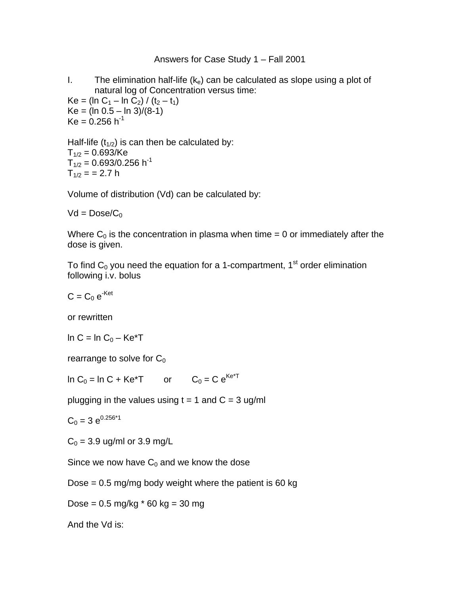## Answers for Case Study 1 – Fall 2001

I. The elimination half-life  $(k_e)$  can be calculated as slope using a plot of natural log of Concentration versus time:

 $Ke = (ln C_1 - ln C_2) / (t_2 - t_1)$  $Ke = (ln 0.5 - ln 3)/(8-1)$  $Ke = 0.256 h^{-1}$ 

Half-life  $(t_{1/2})$  is can then be calculated by:  $T_{1/2} = 0.693$ /Ke  $T_{1/2} = 0.693/0.256 h^{-1}$  $T_{1/2}$  = = 2.7 h

Volume of distribution (Vd) can be calculated by:

 $Vd = Doese/C_0$ 

Where  $C_0$  is the concentration in plasma when time = 0 or immediately after the dose is given.

To find  $C_0$  you need the equation for a 1-compartment, 1<sup>st</sup> order elimination following i.v. bolus

 $C = C_0 e^{-Ket}$ 

or rewritten

 $\ln C = \ln C_0 - K e^*T$ 

rearrange to solve for  $C_0$ 

In C<sub>0</sub> = In C + Ke<sup>\*</sup>T or C<sub>0</sub> = C e<sup>Ke\*T</sup>

plugging in the values using  $t = 1$  and  $C = 3$  ug/ml

 $C_0 = 3 e^{0.256*1}$ 

 $C_0 = 3.9$  ug/ml or 3.9 mg/L

Since we now have  $C_0$  and we know the dose

Dose  $= 0.5$  mg/mg body weight where the patient is 60 kg

Dose =  $0.5 \text{ mg/kg}$  \*  $60 \text{ kg} = 30 \text{ mg}$ 

And the Vd is: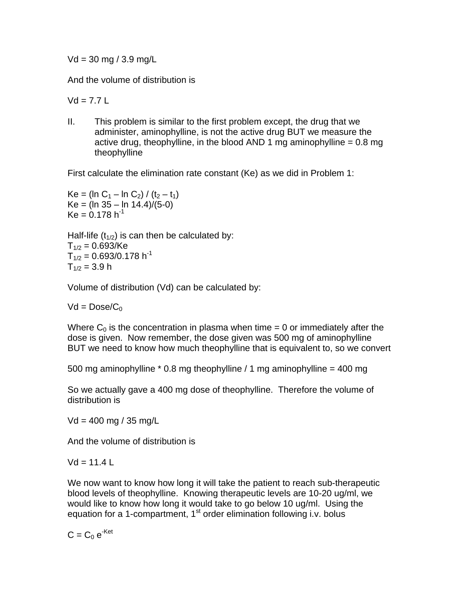$Vd = 30$  mg / 3.9 mg/L

And the volume of distribution is

 $Vd = 7.71$ 

II. This problem is similar to the first problem except, the drug that we administer, aminophylline, is not the active drug BUT we measure the active drug, theophylline, in the blood AND 1 mg aminophylline  $= 0.8$  mg theophylline

First calculate the elimination rate constant (Ke) as we did in Problem 1:

 $Ke = (ln C_1 - ln C_2) / (t_2 - t_1)$  $Ke = (ln 35 - ln 14.4)/(5-0)$  $Ke = 0.178 h^{-1}$ 

Half-life  $(t_{1/2})$  is can then be calculated by:  $T_{1/2} = 0.693$ /Ke  $T_{1/2} = 0.693/0.178 h^{-1}$  $T_{1/2}$  = 3.9 h

Volume of distribution (Vd) can be calculated by:

 $Vd = Doese/C_0$ 

Where  $C_0$  is the concentration in plasma when time = 0 or immediately after the dose is given. Now remember, the dose given was 500 mg of aminophylline BUT we need to know how much theophylline that is equivalent to, so we convert

500 mg aminophylline  $*$  0.8 mg theophylline / 1 mg aminophylline = 400 mg

So we actually gave a 400 mg dose of theophylline. Therefore the volume of distribution is

 $Vd = 400$  mg / 35 mg/L

And the volume of distribution is

 $Vd = 11.4 L$ 

We now want to know how long it will take the patient to reach sub-therapeutic blood levels of theophylline. Knowing therapeutic levels are 10-20 ug/ml, we would like to know how long it would take to go below 10 ug/ml. Using the equation for a 1-compartment, 1<sup>st</sup> order elimination following i.v. bolus

$$
C = C_0 e^{-Ket}
$$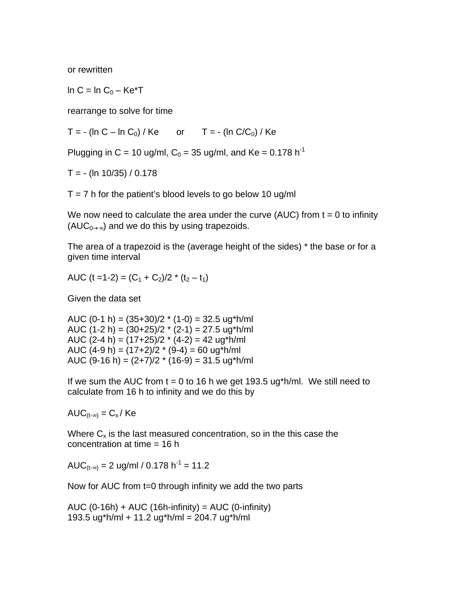or rewritten

 $\ln C = \ln C_0 - \text{Ke}^{\ast}T$ 

rearrange to solve for time

 $T = - (\ln C - \ln C_0) / K$ e or  $T = - (\ln C/C_0) / K$ e

Plugging in C = 10 ug/ml,  $C_0 = 35$  ug/ml, and Ke = 0.178 h<sup>-1</sup>

 $T = - (ln 10/35) / 0.178$ 

 $T = 7$  h for the patient's blood levels to go below 10 ug/ml

We now need to calculate the area under the curve (AUC) from  $t = 0$  to infinity  $(AUC_{0\rightarrow\infty})$  and we do this by using trapezoids.

The area of a trapezoid is the (average height of the sides) \* the base or for a given time interval

AUC (t = 1 - 2) =  $(C_1 + C_2)/2$  \* (t<sub>2</sub> – t<sub>1</sub>)

Given the data set

AUC (0-1 h) =  $(35+30)/2$  \*  $(1-0)$  = 32.5 ug\*h/ml AUC  $(1-2 h) = (30+25)/2$  \*  $(2-1) = 27.5$  ug\*h/ml AUC (2-4 h) =  $(17+25)/2$  \*  $(4-2)$  = 42 ug\*h/ml AUC  $(4-9 h) = (17+2)/2$  \*  $(9-4) = 60$  ug\*h/ml AUC (9-16 h) =  $(2+7)/2$  \* (16-9) = 31.5 ug\*h/ml

If we sum the AUC from  $t = 0$  to 16 h we get 193.5 ug\*h/ml. We still need to calculate from 16 h to infinity and we do this by

 $AUC_{(t-\infty)} = C_x / Ke$ 

Where  $C_x$  is the last measured concentration, so in the this case the concentration at time = 16 h

AUC $_{(t_{-\infty})}$  = 2 ug/ml / 0.178 h<sup>-1</sup> = 11.2

Now for AUC from t=0 through infinity we add the two parts

AUC  $(0-16h) + AUC (16h-infinity) = AUC (0-infinity)$ 193.5 ug\*h/ml + 11.2 ug\*h/ml = 204.7 ug\*h/ml